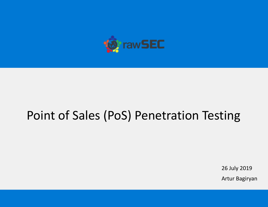

# Point of Sales (PoS) Penetration Testing

26 July 2019

Artur Bagiryan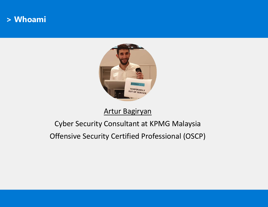#### **> Whoami**



#### Artur Bagiryan

# Cyber Security Consultant at KPMG Malaysia

Offensive Security Certified Professional (OSCP)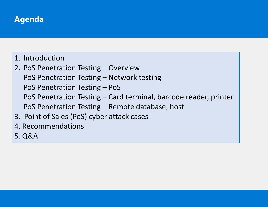# **Agenda**

- 1. Introduction
- 2. PoS Penetration Testing Overview PoS Penetration Testing – Network testing PoS Penetration Testing – PoS PoS Penetration Testing – Card terminal, barcode reader, printer PoS Penetration Testing – Remote database, host
- 3. Point of Sales (PoS) cyber attack cases
- 4. Recommendations
- 5. Q&A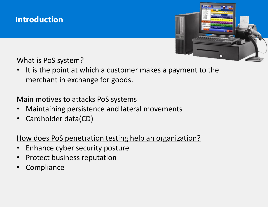



What is PoS system?

It is the point at which a customer makes a payment to the merchant in exchange for goods.

#### Main motives to attacks PoS systems

- Maintaining persistence and lateral movements
- Cardholder data(CD)

#### How does PoS penetration testing help an organization?

- Enhance cyber security posture
- Protect business reputation
- **Compliance**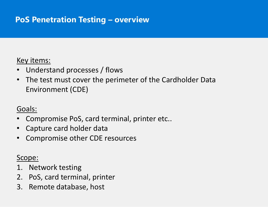# **PoS Penetration Testing – overview**

#### Key items:

- Understand processes / flows
- The test must cover the perimeter of the Cardholder Data Environment (CDE)

#### Goals:

- Compromise PoS, card terminal, printer etc..
- Capture card holder data
- Compromise other CDE resources

#### Scope:

- 1. Network testing
- 2. PoS, card terminal, printer
- 3. Remote database, host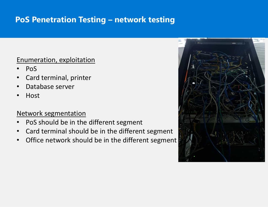# **PoS Penetration Testing – network testing**

#### Enumeration, exploitation

- PoS
- Card terminal, printer
- Database server
- Host

#### Network segmentation

- PoS should be in the different segment
- Card terminal should be in the different segment
- Office network should be in the different segment

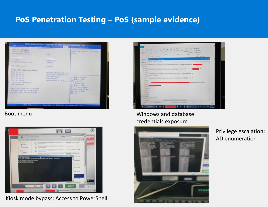## **PoS Penetration Testing – PoS (sample evidence)**





Kiosk mode bypass; Access to PowerShell



#### Boot menu Nindows and database credentials exposure



Privilege escalation; AD enumeration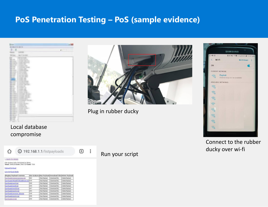#### **PoS Penetration Testing – PoS (sample evidence)**





Plug in rubber ducky



Connect to the rubber ducky over wi-fi

#### Local database compromise



Run your script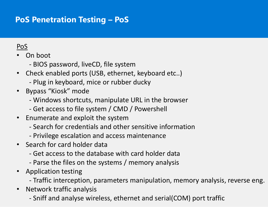# **PoS Penetration Testing – PoS**

#### PoS

• On boot

- BIOS password, liveCD, file system
- Check enabled ports (USB, ethernet, keyboard etc..)
	- Plug in keyboard, mice or rubber ducky
- Bypass "Kiosk" mode
	- Windows shortcuts, manipulate URL in the browser
	- Get access to file system / CMD / Powershell
- Enumerate and exploit the system
	- Search for credentials and other sensitive information
	- Privilege escalation and access maintenance
- Search for card holder data
	- Get access to the database with card holder data
	- Parse the files on the systems / memory analysis
- Application testing
	- Traffic interception, parameters manipulation, memory analysis, reverse eng.
- Network traffic analysis
	- Sniff and analyse wireless, ethernet and serial(COM) port traffic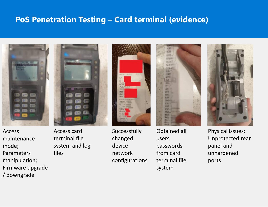#### **PoS Penetration Testing – Card terminal (evidence)**



Access maintenance mode; Parameters manipulation; Firmware upgrade / downgrade







Successfully changed device network configurations



Obtained all users passwords from card terminal file system



Physical issues: Unprotected rear panel and unhardened ports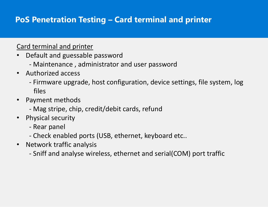# **PoS Penetration Testing – Card terminal and printer**

#### Card terminal and printer

- Default and guessable password
	- Maintenance , administrator and user password
- Authorized access
	- Firmware upgrade, host configuration, device settings, file system, log files
- Payment methods
	- Mag stripe, chip, credit/debit cards, refund
- Physical security
	- Rear panel
	- Check enabled ports (USB, ethernet, keyboard etc..
- Network traffic analysis
	- Sniff and analyse wireless, ethernet and serial(COM) port traffic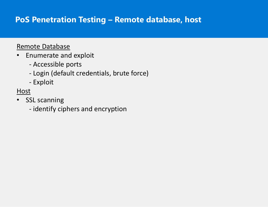# **PoS Penetration Testing – Remote database, host**

#### Remote Database

- Enumerate and exploit
	- Accessible ports
	- Login (default credentials, brute force)
	- Exploit

#### **Host**

- SSL scanning
	- identify ciphers and encryption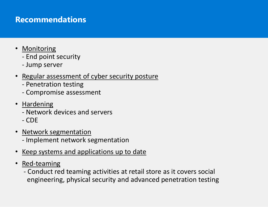## **Recommendations**

- Monitoring
	- End point security
	- Jump server
- Regular assessment of cyber security posture
	- Penetration testing
	- Compromise assessment
- Hardening
	- Network devices and servers
	- CDE
- Network segmentation
	- Implement network segmentation
- Keep systems and applications up to date
- Red-teaming
	- Conduct red teaming activities at retail store as it covers social engineering, physical security and advanced penetration testing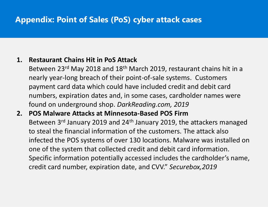# **Appendix: Point of Sales (PoS) cyber attack cases**

#### **1. Restaurant Chains Hit in PoS Attack**

Between 23rd May 2018 and 18th March 2019, restaurant chains hit in a nearly year-long breach of their point-of-sale systems. Customers payment card data which could have included credit and debit card numbers, expiration dates and, in some cases, cardholder names were found on underground shop. *DarkReading.com, 2019*

**2. POS Malware Attacks at Minnesota-Based POS Firm**  Between 3<sup>rd</sup> January 2019 and 24<sup>th</sup> January 2019, the attackers managed to steal the financial information of the customers. The attack also infected the POS systems of over 130 locations. Malware was installed on one of the system that collected credit and debit card information. Specific information potentially accessed includes the cardholder's name, credit card number, expiration date, and CVV." *Securebox,2019*